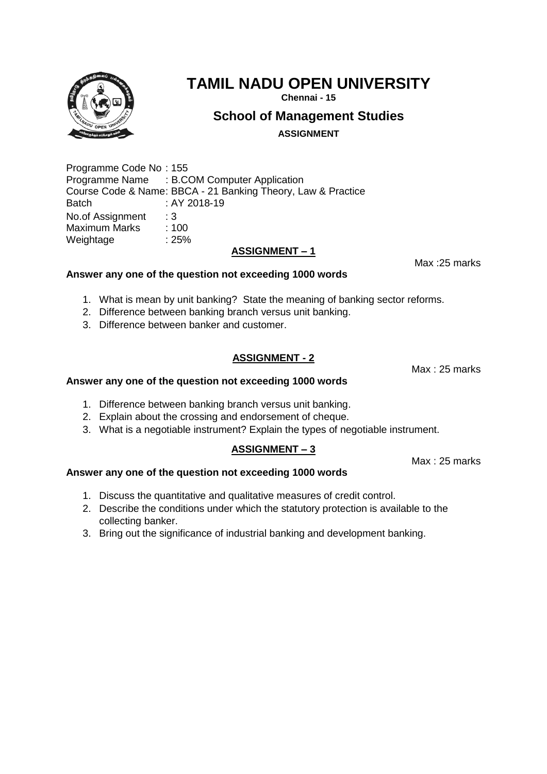

**Chennai - 15**

## **School of Management Studies**

**ASSIGNMENT**

Programme Code No : 155 Programme Name : B.COM Computer Application Course Code & Name: BBCA - 21 Banking Theory, Law & Practice Batch : AY 2018-19 No.of Assignment : 3<br>Maximum Marks : 100 Maximum Marks Weightage : 25%

#### **ASSIGNMENT – 1**

**Answer any one of the question not exceeding 1000 words**

- 1. What is mean by unit banking? State the meaning of banking sector reforms.
- 2. Difference between banking branch versus unit banking.
- 3. Difference between banker and customer.

### **ASSIGNMENT - 2**

#### **Answer any one of the question not exceeding 1000 words**

- 1. Difference between banking branch versus unit banking.
- 2. Explain about the crossing and endorsement of cheque.
- 3. What is a negotiable instrument? Explain the types of negotiable instrument.

#### **ASSIGNMENT – 3**

**Answer any one of the question not exceeding 1000 words** 

- 1. Discuss the quantitative and qualitative measures of credit control.
- 2. Describe the conditions under which the statutory protection is available to the collecting banker.
- 3. Bring out the significance of industrial banking and development banking.



Max :25 marks

Max : 25 marks

Max : 25 marks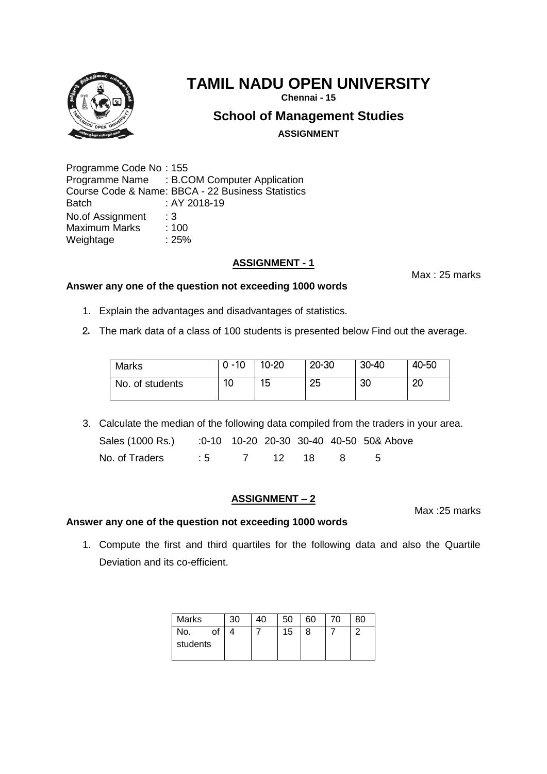

# **TAMIL NADU OPEN UNIVERSITY**

**Chennai - 15**

## **School of Management Studies**

**ASSIGNMENT**

Programme Code No : 155 Programme Name : B.COM Computer Application Course Code & Name: BBCA - 22 Business Statistics Batch : AY 2018-19 No.of Assignment : 3<br>Maximum Marks : 100 Maximum Marks Weightage : 25%

## **ASSIGNMENT - 1**

Max : 25 marks

- **Answer any one of the question not exceeding 1000 words**
	- 1. Explain the advantages and disadvantages of statistics.
	- 2. The mark data of a class of 100 students is presented below Find out the average.

| Marks           | $0 - 10$ | $10 - 20$ | 20-30 | $30 - 40$ | 40-50 |
|-----------------|----------|-----------|-------|-----------|-------|
| No. of students | 10       | 15        | 25    | 30        | 20    |

3. Calculate the median of the following data compiled from the traders in your area.

| Sales (1000 Rs.) :0-10 10-20 20-30 30-40 40-50 50& Above |  |  |  |
|----------------------------------------------------------|--|--|--|
| No. of Traders : 5 7 12 18 8 5                           |  |  |  |

## **ASSIGNMENT – 2**

Max :25 marks

## **Answer any one of the question not exceeding 1000 words**

1. Compute the first and third quartiles for the following data and also the Quartile Deviation and its co-efficient.

| <b>Marks</b>          | 30 | 40 | 50 | 60 | 70 | 80 |
|-----------------------|----|----|----|----|----|----|
| No.<br>of<br>students |    |    | 15 | 8  |    | ◠  |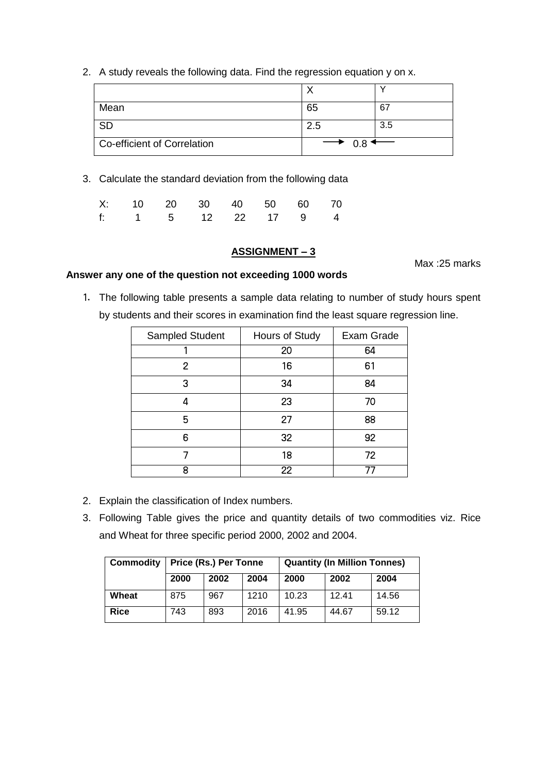2. A study reveals the following data. Find the regression equation y on x.

| Mean                        | 65                             | -67 |
|-----------------------------|--------------------------------|-----|
| <b>SD</b>                   | 2.5                            | 3.5 |
| Co-efficient of Correlation | $\rightarrow$ 0.8 $\leftarrow$ |     |

3. Calculate the standard deviation from the following data

|  | X: 10 20 30 40 50 60 70 |  |  |
|--|-------------------------|--|--|
|  | f: 1 5 12 22 17 9 4     |  |  |

#### **ASSIGNMENT – 3**

Max :25 marks

#### **Answer any one of the question not exceeding 1000 words**

1. The following table presents a sample data relating to number of study hours spent by students and their scores in examination find the least square regression line.

| Sampled Student | Hours of Study  | Exam Grade |
|-----------------|-----------------|------------|
|                 | 20              | 64         |
| 2               | 16              | 61         |
| 3               | 34              | 84         |
| Δ               | 23              | 70         |
| 5               | 27              | 88         |
| 6               | 32              | 92         |
|                 | 18              | 72         |
| 8               | $\overline{22}$ |            |

- 2. Explain the classification of Index numbers.
- 3. Following Table gives the price and quantity details of two commodities viz. Rice and Wheat for three specific period 2000, 2002 and 2004.

| <b>Commodity</b> | Price (Rs.) Per Tonne |      |      | <b>Quantity (In Million Tonnes)</b> |       |       |  |
|------------------|-----------------------|------|------|-------------------------------------|-------|-------|--|
|                  | 2000                  | 2002 | 2004 | 2000                                | 2002  | 2004  |  |
| Wheat            | 875                   | 967  | 1210 | 10.23                               | 12.41 | 14.56 |  |
| <b>Rice</b>      | 743                   | 893  | 2016 | 41.95                               | 44.67 | 59.12 |  |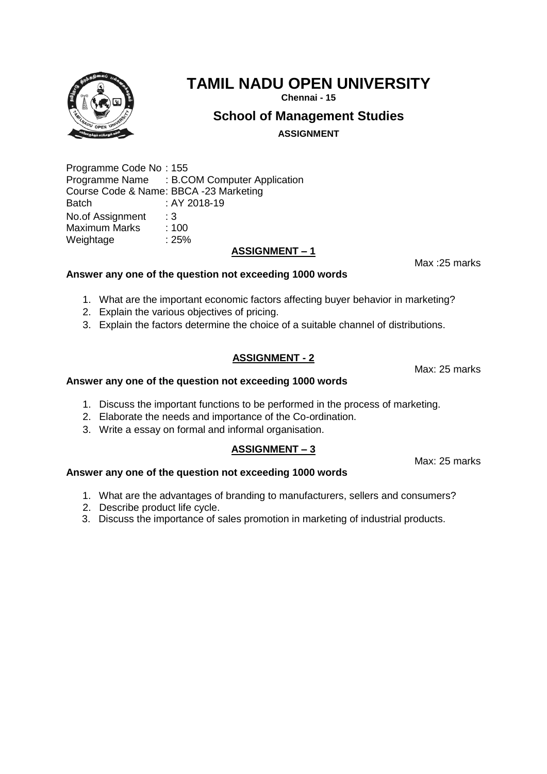# **TAMIL NADU OPEN UNIVERSITY**

**Chennai - 15**

## **School of Management Studies**

**ASSIGNMENT**

Programme Code No : 155 Programme Name : B.COM Computer Application Course Code & Name: BBCA -23 Marketing Batch : AY 2018-19 No.of Assignment : 3<br>Maximum Marks : 100 Maximum Marks Weightage : 25%

## **ASSIGNMENT – 1**

## **Answer any one of the question not exceeding 1000 words**

- 1. What are the important economic factors affecting buyer behavior in marketing?
- 2. Explain the various objectives of pricing.
- 3. Explain the factors determine the choice of a suitable channel of distributions.

## **ASSIGNMENT - 2**

## **Answer any one of the question not exceeding 1000 words**

- 1. Discuss the important functions to be performed in the process of marketing.
- 2. Elaborate the needs and importance of the Co-ordination.
- 3. Write a essay on formal and informal organisation.

## **ASSIGNMENT – 3**

**Answer any one of the question not exceeding 1000 words** 

- 1. What are the advantages of branding to manufacturers, sellers and consumers?
- 2. Describe product life cycle.
- 3. Discuss the importance of sales promotion in marketing of industrial products.



Max: 25 marks

Max :25 marks

Max: 25 marks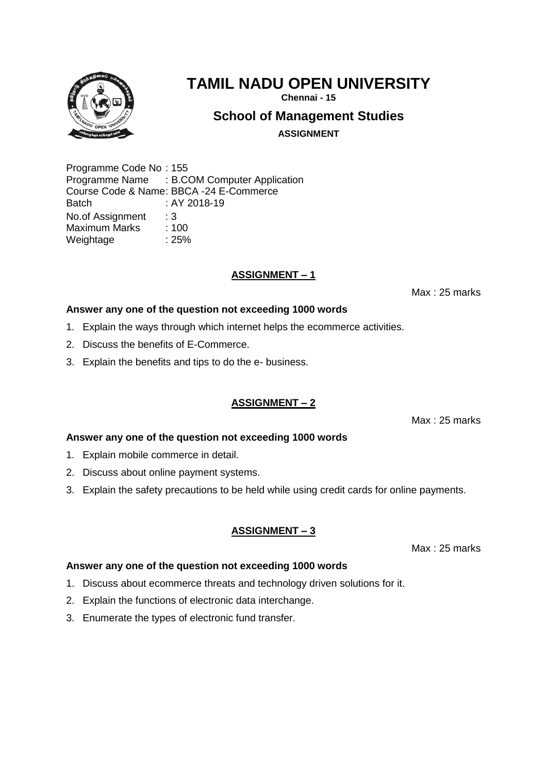

**Chennai - 15**

## **School of Management Studies**

**ASSIGNMENT**

Programme Code No : 155 Programme Name : B.COM Computer Application Course Code & Name: BBCA -24 E-Commerce Batch : AY 2018-19 No.of Assignment : 3 Maximum Marks : 100 Weightage : 25%

## **ASSIGNMENT – 1**

Max : 25 marks

### **Answer any one of the question not exceeding 1000 words**

- 1. Explain the ways through which internet helps the ecommerce activities.
- 2. Discuss the benefits of E-Commerce.
- 3. Explain the benefits and tips to do the e- business.

## **ASSIGNMENT – 2**

Max : 25 marks

### **Answer any one of the question not exceeding 1000 words**

- 1. Explain mobile commerce in detail.
- 2. Discuss about online payment systems.
- 3. Explain the safety precautions to be held while using credit cards for online payments.

### **ASSIGNMENT – 3**

Max : 25 marks

#### **Answer any one of the question not exceeding 1000 words**

- 1. Discuss about ecommerce threats and technology driven solutions for it.
- 2. Explain the functions of electronic data interchange.
- 3. Enumerate the types of electronic fund transfer.